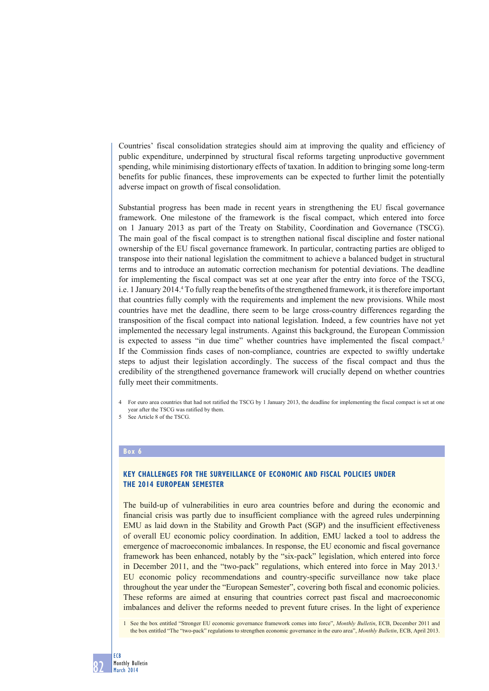Countries' fiscal consolidation strategies should aim at improving the quality and efficiency of public expenditure, underpinned by structural fiscal reforms targeting unproductive government spending, while minimising distortionary effects of taxation. In addition to bringing some long-term benefits for public finances, these improvements can be expected to further limit the potentially adverse impact on growth of fiscal consolidation.

Substantial progress has been made in recent years in strengthening the EU fiscal governance framework. One milestone of the framework is the fiscal compact, which entered into force on 1 January 2013 as part of the Treaty on Stability, Coordination and Governance (TSCG). The main goal of the fiscal compact is to strengthen national fiscal discipline and foster national ownership of the EU fiscal governance framework. In particular, contracting parties are obliged to transpose into their national legislation the commitment to achieve a balanced budget in structural terms and to introduce an automatic correction mechanism for potential deviations. The deadline for implementing the fiscal compact was set at one year after the entry into force of the TSCG, i.e. 1 January 2014.4 To fully reap the benefits of the strengthened framework, it is therefore important that countries fully comply with the requirements and implement the new provisions. While most countries have met the deadline, there seem to be large cross-country differences regarding the transposition of the fiscal compact into national legislation. Indeed, a few countries have not yet implemented the necessary legal instruments. Against this background, the European Commission is expected to assess "in due time" whether countries have implemented the fiscal compact.<sup>5</sup> If the Commission finds cases of non-compliance, countries are expected to swiftly undertake steps to adjust their legislation accordingly. The success of the fiscal compact and thus the credibility of the strengthened governance framework will crucially depend on whether countries fully meet their commitments.

4 For euro area countries that had not ratified the TSCG by 1 January 2013, the deadline for implementing the fiscal compact is set at one year after the TSCG was ratified by them.

#### **Box 6**

# **KEY CHALLENGES FOR THE SURVEILLANCE OF ECONOMIC AND FISCAL POLICIES UNDER THE 2014 EUROPEAN SEMESTER**

The build-up of vulnerabilities in euro area countries before and during the economic and financial crisis was partly due to insufficient compliance with the agreed rules underpinning EMU as laid down in the Stability and Growth Pact (SGP) and the insufficient effectiveness of overall EU economic policy coordination. In addition, EMU lacked a tool to address the emergence of macroeconomic imbalances. In response, the EU economic and fiscal governance framework has been enhanced, notably by the "six-pack" legislation, which entered into force in December 2011, and the "two-pack" regulations, which entered into force in May 2013. EU economic policy recommendations and country-specific surveillance now take place throughout the year under the "European Semester", covering both fiscal and economic policies. These reforms are aimed at ensuring that countries correct past fiscal and macroeconomic imbalances and deliver the reforms needed to prevent future crises. In the light of experience

<sup>5</sup> See Article 8 of the TSCG.

<sup>1</sup> See the box entitled "Stronger EU economic governance framework comes into force", *Monthly Bulletin*, ECB, December 2011 and the box entitled "The "two-pack" regulations to strengthen economic governance in the euro area", *Monthly Bulletin*, ECB, April 2013.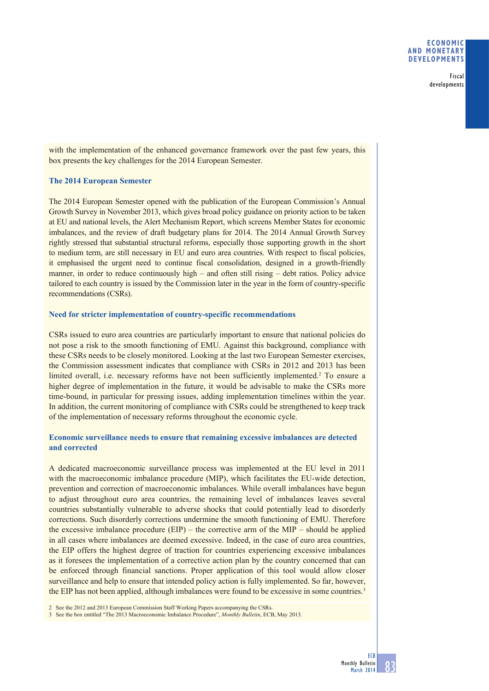#### **ECONOMIC AND MONETARY DEVELOPMENTS**

Fiscal developments

with the implementation of the enhanced governance framework over the past few years, this box presents the key challenges for the 2014 European Semester.

### **The 2014 European Semester**

The 2014 European Semester opened with the publication of the European Commission's Annual Growth Survey in November 2013, which gives broad policy guidance on priority action to be taken at EU and national levels, the Alert Mechanism Report, which screens Member States for economic imbalances, and the review of draft budgetary plans for 2014. The 2014 Annual Growth Survey rightly stressed that substantial structural reforms, especially those supporting growth in the short to medium term, are still necessary in EU and euro area countries. With respect to fiscal policies, it emphasised the urgent need to continue fiscal consolidation, designed in a growth-friendly manner, in order to reduce continuously high – and often still rising – debt ratios. Policy advice tailored to each country is issued by the Commission later in the year in the form of country-specific recommendations (CSRs).

### **Need for stricter implementation of country-specific recommendations**

CSRs issued to euro area countries are particularly important to ensure that national policies do not pose a risk to the smooth functioning of EMU. Against this background, compliance with these CSRs needs to be closely monitored. Looking at the last two European Semester exercises, the Commission assessment indicates that compliance with CSRs in 2012 and 2013 has been limited overall, i.e. necessary reforms have not been sufficiently implemented.<sup>2</sup> To ensure a higher degree of implementation in the future, it would be advisable to make the CSRs more time-bound, in particular for pressing issues, adding implementation timelines within the year. In addition, the current monitoring of compliance with CSRs could be strengthened to keep track of the implementation of necessary reforms throughout the economic cycle.

# **Economic surveillance needs to ensure that remaining excessive imbalances are detected and corrected**

A dedicated macroeconomic surveillance process was implemented at the EU level in 2011 with the macroeconomic imbalance procedure (MIP), which facilitates the EU-wide detection, prevention and correction of macroeconomic imbalances. While overall imbalances have begun to adjust throughout euro area countries, the remaining level of imbalances leaves several countries substantially vulnerable to adverse shocks that could potentially lead to disorderly corrections. Such disorderly corrections undermine the smooth functioning of EMU. Therefore the excessive imbalance procedure  $(EIP)$  – the corrective arm of the MIP – should be applied in all cases where imbalances are deemed excessive. Indeed, in the case of euro area countries, the EIP offers the highest degree of traction for countries experiencing excessive imbalances as it foresees the implementation of a corrective action plan by the country concerned that can be enforced through financial sanctions. Proper application of this tool would allow closer surveillance and help to ensure that intended policy action is fully implemented. So far, however, the EIP has not been applied, although imbalances were found to be excessive in some countries.<sup>3</sup>

2 See the 2012 and 2013 European Commission Staff Working Papers accompanying the CSRs.

3 See the box entitled "The 2013 Macroeconomic Imbalance Procedure", *Monthly Bulletin*, ECB, May 2013.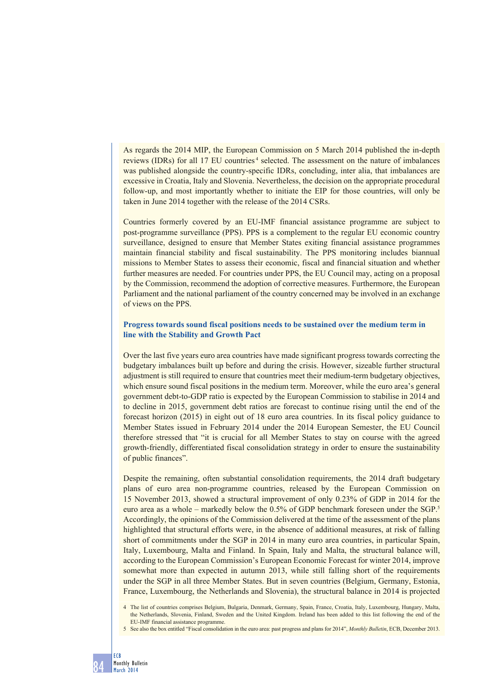As regards the 2014 MIP, the European Commission on 5 March 2014 published the in-depth reviews (IDRs) for all 17 EU countries<sup>4</sup> selected. The assessment on the nature of imbalances was published alongside the country-specific IDRs, concluding, inter alia, that imbalances are excessive in Croatia, Italy and Slovenia. Nevertheless, the decision on the appropriate procedural follow-up, and most importantly whether to initiate the EIP for those countries, will only be taken in June 2014 together with the release of the 2014 CSRs.

Countries formerly covered by an EU-IMF financial assistance programme are subject to post-programme surveillance (PPS). PPS is a complement to the regular EU economic country surveillance, designed to ensure that Member States exiting financial assistance programmes maintain financial stability and fiscal sustainability. The PPS monitoring includes biannual missions to Member States to assess their economic, fiscal and financial situation and whether further measures are needed. For countries under PPS, the EU Council may, acting on a proposal by the Commission, recommend the adoption of corrective measures. Furthermore, the European Parliament and the national parliament of the country concerned may be involved in an exchange of views on the PPS.

# **Progress towards sound fiscal positions needs to be sustained over the medium term in line with the Stability and Growth Pact**

Over the last five years euro area countries have made significant progress towards correcting the budgetary imbalances built up before and during the crisis. However, sizeable further structural adjustment is still required to ensure that countries meet their medium-term budgetary objectives, which ensure sound fiscal positions in the medium term. Moreover, while the euro area's general government debt-to-GDP ratio is expected by the European Commission to stabilise in 2014 and to decline in 2015, government debt ratios are forecast to continue rising until the end of the forecast horizon (2015) in eight out of 18 euro area countries. In its fiscal policy guidance to Member States issued in February 2014 under the 2014 European Semester, the EU Council therefore stressed that "it is crucial for all Member States to stay on course with the agreed growth-friendly, differentiated fiscal consolidation strategy in order to ensure the sustainability of public finances".

Despite the remaining, often substantial consolidation requirements, the 2014 draft budgetary plans of euro area non-programme countries, released by the European Commission on 15 November 2013, showed a structural improvement of only 0.23% of GDP in 2014 for the euro area as a whole – markedly below the 0.5% of GDP benchmark foreseen under the SGP.5 Accordingly, the opinions of the Commission delivered at the time of the assessment of the plans highlighted that structural efforts were, in the absence of additional measures, at risk of falling short of commitments under the SGP in 2014 in many euro area countries, in particular Spain, Italy, Luxembourg, Malta and Finland. In Spain, Italy and Malta, the structural balance will, according to the European Commission's European Economic Forecast for winter 2014, improve somewhat more than expected in autumn 2013, while still falling short of the requirements under the SGP in all three Member States. But in seven countries (Belgium, Germany, Estonia, France, Luxembourg, the Netherlands and Slovenia), the structural balance in 2014 is projected

<sup>4</sup> The list of countries comprises Belgium, Bulgaria, Denmark, Germany, Spain, France, Croatia, Italy, Luxembourg, Hungary, Malta, the Netherlands, Slovenia, Finland, Sweden and the United Kingdom. Ireland has been added to this list following the end of the EU-IMF financial assistance programme.

<sup>5</sup> See also the box entitled "Fiscal consolidation in the euro area: past progress and plans for 2014", *Monthly Bulletin*, ECB, December 2013.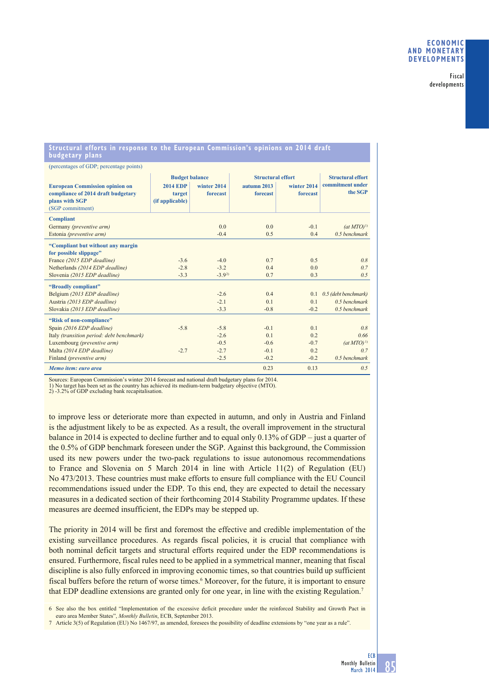Fiscal developments

## **Structural efforts in response to the European Commission's opinions on 2014 draft budgetary plans**

| (percentages of GDP; percentage points)                                                                           |                                                                       |                         |                                                     |                         |                                                         |
|-------------------------------------------------------------------------------------------------------------------|-----------------------------------------------------------------------|-------------------------|-----------------------------------------------------|-------------------------|---------------------------------------------------------|
| <b>European Commission opinion on</b><br>compliance of 2014 draft budgetary<br>plans with SGP<br>(SGP commitment) | <b>Budget balance</b><br><b>2014 EDP</b><br>target<br>(if applicable) | winter 2014<br>forecast | <b>Structural effort</b><br>autumn 2013<br>forecast | winter 2014<br>forecast | <b>Structural effort</b><br>commitment under<br>the SGP |
| <b>Compliant</b>                                                                                                  |                                                                       |                         |                                                     |                         |                                                         |
| Germany (preventive arm)                                                                                          |                                                                       | 0.0                     | 0.0                                                 | $-0.1$                  | $(at MTO)^{1}$                                          |
| Estonia (preventive arm)                                                                                          |                                                                       | $-0.4$                  | 0.5                                                 | 0.4                     | $0.5$ benchmark                                         |
| "Compliant but without any margin<br>for possible slippage"                                                       |                                                                       |                         |                                                     |                         |                                                         |
| France (2015 EDP deadline)                                                                                        | $-3.6$                                                                | $-4.0$                  | 0.7                                                 | 0.5                     | 0.8                                                     |
| Netherlands (2014 EDP deadline)                                                                                   | $-2.8$                                                                | $-3.2$                  | 0.4                                                 | 0.0                     | 0.7                                                     |
| Slovenia (2015 EDP deadline)                                                                                      | $-3.3$                                                                | $-3.92$                 | 0.7                                                 | 0.3                     | 0.5                                                     |
| "Broadly compliant"                                                                                               |                                                                       |                         |                                                     |                         |                                                         |
| Belgium (2013 EDP deadline)                                                                                       |                                                                       | $-2.6$                  | 0.4                                                 | 0.1                     | 0.5 (debt benchmark)                                    |
| Austria (2013 EDP deadline)                                                                                       |                                                                       | $-2.1$                  | 0.1                                                 | 0.1                     | $0.5$ benchmark                                         |
| Slovakia (2013 EDP deadline)                                                                                      |                                                                       | $-3.3$                  | $-0.8$                                              | $-0.2$                  | $0.5$ benchmark                                         |
| "Risk of non-compliance"                                                                                          |                                                                       |                         |                                                     |                         |                                                         |
| Spain (2016 EDP deadline)                                                                                         | $-5.8$                                                                | $-5.8$                  | $-0.1$                                              | 0.1                     | 0.8                                                     |
| Italy (transition period: debt benchmark)                                                                         |                                                                       | $-2.6$                  | 0.1                                                 | 0.2                     | 0.66                                                    |
| Luxembourg (preventive arm)                                                                                       |                                                                       | $-0.5$                  | $-0.6$                                              | $-0.7$                  | $(at MTO)^{1}$                                          |
| Malta (2014 EDP deadline)                                                                                         | $-2.7$                                                                | $-2.7$                  | $-0.1$                                              | 0.2                     | 0.7                                                     |
| Finland (preventive arm)                                                                                          |                                                                       | $-2.5$                  | $-0.2$                                              | $-0.2$                  | $0.5$ benchmark                                         |
| Memo item: euro area                                                                                              |                                                                       |                         | 0.23                                                | 0.13                    | 0.5                                                     |

Sources: European Commission's winter 2014 forecast and national draft budgetary plans for 2014.

1) No target has been set as the country has achieved its medium-term budgetary objective (MTO). 2) -3.2% of GDP excluding bank recapitalisation.

to improve less or deteriorate more than expected in autumn, and only in Austria and Finland is the adjustment likely to be as expected. As a result, the overall improvement in the structural balance in 2014 is expected to decline further and to equal only 0.13% of GDP – just a quarter of the 0.5% of GDP benchmark foreseen under the SGP. Against this background, the Commission used its new powers under the two-pack regulations to issue autonomous recommendations to France and Slovenia on 5 March 2014 in line with Article 11(2) of Regulation (EU) No 473/2013. These countries must make efforts to ensure full compliance with the EU Council recommendations issued under the EDP. To this end, they are expected to detail the necessary measures in a dedicated section of their forthcoming 2014 Stability Programme updates. If these measures are deemed insufficient, the EDPs may be stepped up.

The priority in 2014 will be first and foremost the effective and credible implementation of the existing surveillance procedures. As regards fiscal policies, it is crucial that compliance with both nominal deficit targets and structural efforts required under the EDP recommendations is ensured. Furthermore, fiscal rules need to be applied in a symmetrical manner, meaning that fiscal discipline is also fully enforced in improving economic times, so that countries build up sufficient fiscal buffers before the return of worse times.<sup>6</sup> Moreover, for the future, it is important to ensure that EDP deadline extensions are granted only for one year, in line with the existing Regulation.7

6 See also the box entitled "Implementation of the excessive deficit procedure under the reinforced Stability and Growth Pact in euro area Member States", *Monthly Bulletin*, ECB, September 2013.

7 Article 3(5) of Regulation (EU) No 1467/97, as amended, foresees the possibility of deadline extensions by "one year as a rule".